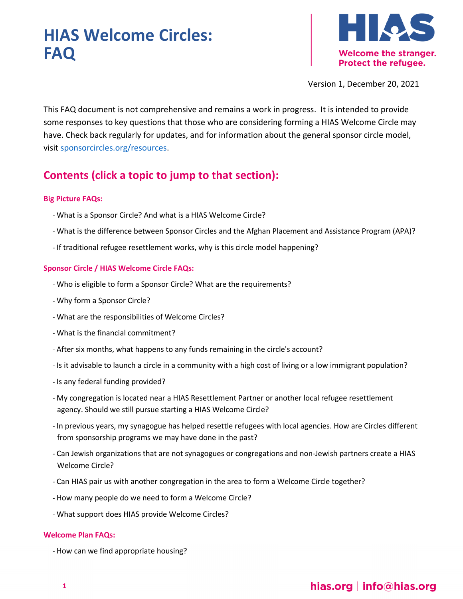# **HIAS Welcome Circles: FAQ**



Version 1, December 20, 2021

This FAQ document is not comprehensive and remains a work in progress. It is intended to provide some responses to key questions that those who are considering forming a HIAS Welcome Circle may have. Check back regularly for updates, and for information about the general sponsor circle model, visit [sponsorcircles.org/resources.](http://www.sponsorcircles.org/resources)

# **Contents (click a topic to jump to that section):**

#### **[Big Picture FAQs:](#page-2-0)**

- *-* [What is a Sponsor Circle? And what is a HIAS Welcome Circle?](#page-2-1)
- *-* [What is the difference between Sponsor Circles and the Afghan Placement and Assistance Program \(APA\)?](#page-2-2)
- *-* [If traditional refugee resettlement works, why is this circle model happening?](#page-2-3)

#### **[Sponsor Circle / HIAS Welcome Circle FAQs:](#page-3-0)**

- *-* [Who is eligible to form a Sponsor Circle? What are the requirements?](#page-3-1)
- *-* [Why form a Sponsor Circle?](#page-3-2)
- *-* [What are the responsibilities of Welcome Circles?](#page-4-0)
- *-* [What is the financial commitment?](#page-4-1)
- *-* [After six months, what happens to any funds remaining in the circle's account?](#page-5-0)
- *-* [Is it advisable to launch a circle in a community with a high cost of living or a low immigrant population?](#page-5-1)
- *-* [Is any federal funding provided?](#page-5-2)
- *-* [My congregation is located near a HIAS Resettlement Partner or another local refugee resettlement](#page-6-0)  [agency. Should we still pursue starting a HIAS Welcome Circle?](#page-6-0)
- *-* [In previous years, my synagogue has helped resettle refugees with local agencies. How are Circles different](#page-6-1)  from [sponsorship programs we may have done in the past?](#page-6-1)
- *-* [Can Jewish organizations that are not synagogues or congregations and non-Jewish partners create a HIAS](#page-6-2)  [Welcome Circle?](#page-6-2)
- *-* [Can HIAS pair us with another congregation in the area to form a Welcome Circle together?](#page-6-3)
- *-* [How many people do we need to form a Welcome Circle?](#page-6-4)
- *-* What [support does HIAS provide Welcome Circles?](#page-7-0)

#### **[Welcome Plan FAQs:](#page-7-1)**

*-* [How can we find appropriate housing?](#page-7-2)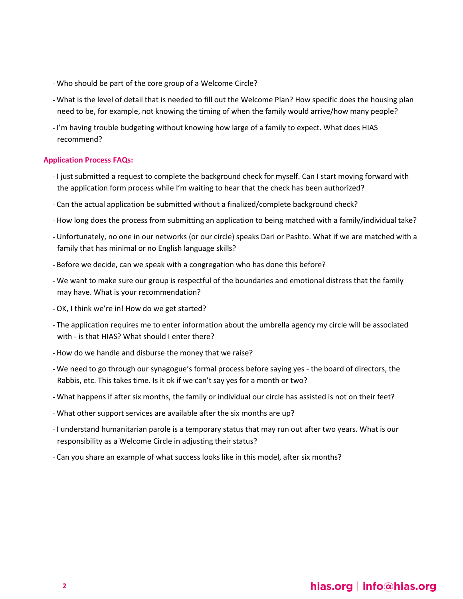- *-* [Who should be part of the core group of a Welcome Circle?](#page-8-0)
- *-* [What is the level of detail that is needed to fill out the Welcome Plan? How specific does the housing plan](#page-8-1)  [need to be, for example, not knowing the timing of when the family would arrive/how many people?](#page-8-1)
- *-* [I'm having trouble budgeting without knowing how large of a family to expect. What does HIAS](#page-9-0)  [recommend?](#page-9-0)

#### **[Application Process FAQs:](#page-9-1)**

- *-* [I just submitted a request to complete the background check for myself. Can I start moving forward with](#page-9-2)  [the application form process while I'm waiting to hear that the check has been authorized?](#page-9-2)
- *-* [Can the actual application be submitted without a finalized/complete background check?](#page-9-3)
- *-* [How long does the process from submitting an application to being matched with a family/individual take?](#page-9-4)
- *-* [Unfortunately, no one in our networks \(or our circle\) speaks Dari or Pashto. What if we are matched with a](#page-9-5)  [family that has minimal or no English language skills?](#page-9-5)
- *-* [Before we decide, can we speak with a congregation who has done this](#page-10-0) before?
- *-* [We want to make sure our group is respectful of the boundaries and emotional distress that the family](#page-10-1)  [may have. What is your recommendation?](#page-10-1)
- *-* [OK, I think we're in! How do we get](#page-10-2) started?
- *-* [The application requires me to enter information about the umbrella agency my circle will be associated](#page-10-3)  with - [is that HIAS? What should I enter there?](#page-10-3)
- *-* [How do we handle and disburse the money that we raise?](#page-11-0)
- *-* [We need to go through our synagogue's formal process before saying yes](#page-11-1)  the board of directors, the [Rabbis, etc. This takes time. Is it ok if we can't say yes for a month or two?](#page-11-1)
- *-* [What happens if after six months, the family or individual our circle has assisted is not on their feet?](#page-11-2)
- *-* [What other support services are available after the six months are up?](#page-12-0)
- *-* [I understand humanitarian parole is a temporary status that may run out after two years. What is our](#page-13-0)  [responsibility as a Welcome Circle in adjusting their status?](#page-13-0)
- *-* [Can you share an example of what success looks like in this model, after six months?](#page-13-1)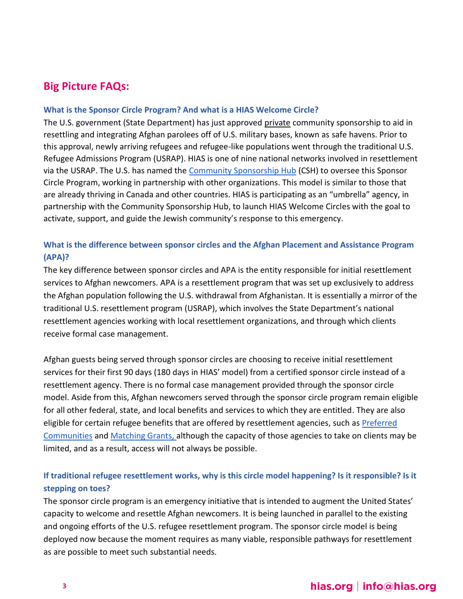# <span id="page-2-0"></span>**Big Picture FAQs:**

### <span id="page-2-1"></span>**What is the Sponsor Circle Program? And what is a HIAS Welcome Circle?**

The U.S. government (State Department) has just approved private community sponsorship to aid in resettling and integrating Afghan parolees off of U.S. military bases, known as safe havens. Prior to this approval, newly arriving refugees and refugee-like populations went through the traditional U.S. Refugee Admissions Program (USRAP). HIAS is one of nine national networks involved in resettlement via the USRAP. The U.S. has named the [Community Sponsorship Hub](https://www.sponsorcircles.org/) (CSH) to oversee this Sponsor Circle Program, working in partnership with other organizations. This model is similar to those that are already thriving in Canada and other countries. HIAS is participating as an "umbrella" agency, in partnership with the Community Sponsorship Hub, to launch HIAS Welcome Circles with the goal to activate, support, and guide the Jewish community's response to this emergency.

### <span id="page-2-2"></span>**What is the difference between sponsor circles and the Afghan Placement and Assistance Program (APA)?**

The key difference between sponsor circles and APA is the entity responsible for initial resettlement services to Afghan newcomers. APA is a resettlement program that was set up exclusively to address the Afghan population following the U.S. withdrawal from Afghanistan. It is essentially a mirror of the traditional U.S. resettlement program (USRAP), which involves the State Department's national resettlement agencies working with local resettlement organizations, and through which clients receive formal case management.

Afghan guests being served through sponsor circles are choosing to receive initial resettlement services for their first 90 days (180 days in HIAS' model) from a certified sponsor circle instead of a resettlement agency. There is no formal case management provided through the sponsor circle model. Aside from this, Afghan newcomers served through the sponsor circle program remain eligible for all other federal, state, and local benefits and services to which they are entitled. They are also eligible for certain refugee benefits that are offered by resettlement agencies, such as Preferred [Communities](https://www.acf.hhs.gov/orr/programs/refugees/rph) and [Matching Grants,](https://www.acf.hhs.gov/orr/programs/refugees/matching-grants) although the capacity of those agencies to take on clients may be limited, and as a result, access will not always be possible.

### <span id="page-2-3"></span>**If traditional refugee resettlement works, why is this circle model happening? Is it responsible? Is it stepping on toes?**

The sponsor circle program is an emergency initiative that is intended to augment the United States' capacity to welcome and resettle Afghan newcomers. It is being launched in parallel to the existing and ongoing efforts of the U.S. refugee resettlement program. The sponsor circle model is being deployed now because the moment requires as many viable, responsible pathways for resettlement as are possible to meet such substantial needs.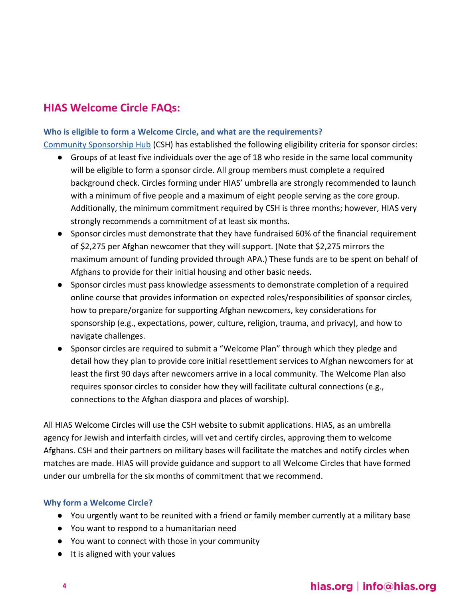# <span id="page-3-0"></span>**HIAS Welcome Circle FAQs:**

### <span id="page-3-1"></span>**Who is eligible to form a Welcome Circle, and what are the requirements?**

[Community Sponsorship Hub](https://www.sponsorcircles.org/) (CSH) has established the following eligibility criteria for sponsor circles:

- Groups of at least five individuals over the age of 18 who reside in the same local community will be eligible to form a sponsor circle. All group members must complete a required background check. Circles forming under HIAS' umbrella are strongly recommended to launch with a minimum of five people and a maximum of eight people serving as the core group. Additionally, the minimum commitment required by CSH is three months; however, HIAS very strongly recommends a commitment of at least six months.
- Sponsor circles must demonstrate that they have fundraised 60% of the financial requirement of \$2,275 per Afghan newcomer that they will support. (Note that \$2,275 mirrors the maximum amount of funding provided through APA.) These funds are to be spent on behalf of Afghans to provide for their initial housing and other basic needs.
- Sponsor circles must pass knowledge assessments to demonstrate completion of a required online course that provides information on expected roles/responsibilities of sponsor circles, how to prepare/organize for supporting Afghan newcomers, key considerations for sponsorship (e.g., expectations, power, culture, religion, trauma, and privacy), and how to navigate challenges.
- Sponsor circles are required to submit a "Welcome Plan" through which they pledge and detail how they plan to provide core initial resettlement services to Afghan newcomers for at least the first 90 days after newcomers arrive in a local community. The Welcome Plan also requires sponsor circles to consider how they will facilitate cultural connections (e.g., connections to the Afghan diaspora and places of worship).

All HIAS Welcome Circles will use the CSH website to submit applications. HIAS, as an umbrella agency for Jewish and interfaith circles, will vet and certify circles, approving them to welcome Afghans. CSH and their partners on military bases will facilitate the matches and notify circles when matches are made. HIAS will provide guidance and support to all Welcome Circles that have formed under our umbrella for the six months of commitment that we recommend.

#### <span id="page-3-2"></span>**Why form a Welcome Circle?**

- You urgently want to be reunited with a friend or family member currently at a military base
- You want to respond to a humanitarian need
- You want to connect with those in your community
- It is aligned with your values

# hias.org | info@hias.org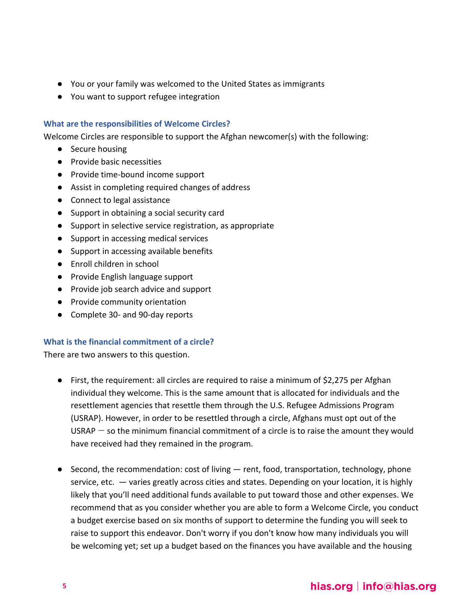- You or your family was welcomed to the United States as immigrants
- You want to support refugee integration

#### <span id="page-4-0"></span>**What are the responsibilities of Welcome Circles?**

Welcome Circles are responsible to support the Afghan newcomer(s) with the following:

- Secure housing
- Provide basic necessities
- Provide time-bound income support
- Assist in completing required changes of address
- Connect to legal assistance
- Support in obtaining a social security card
- Support in selective service registration, as appropriate
- Support in accessing medical services
- Support in accessing available benefits
- Enroll children in school
- Provide English language support
- Provide job search advice and support
- Provide community orientation
- Complete 30- and 90-day reports

#### <span id="page-4-1"></span>**What is the financial commitment of a circle?**

There are two answers to this question.

- First, the requirement: all circles are required to raise a minimum of \$2,275 per Afghan individual they welcome. This is the same amount that is allocated for individuals and the resettlement agencies that resettle them through the U.S. Refugee Admissions Program (USRAP). However, in order to be resettled through a circle, Afghans must opt out of the USRAP  $-$  so the minimum financial commitment of a circle is to raise the amount they would have received had they remained in the program.
- $\bullet$  Second, the recommendation: cost of living  $-$  rent, food, transportation, technology, phone service, etc. — varies greatly across cities and states. Depending on your location, it is highly likely that you'll need additional funds available to put toward those and other expenses. We recommend that as you consider whether you are able to form a Welcome Circle, you conduct a budget exercise based on six months of support to determine the funding you will seek to raise to support this endeavor. Don't worry if you don't know how many individuals you will be welcoming yet; set up a budget based on the finances you have available and the housing

# hias.org | info@hias.org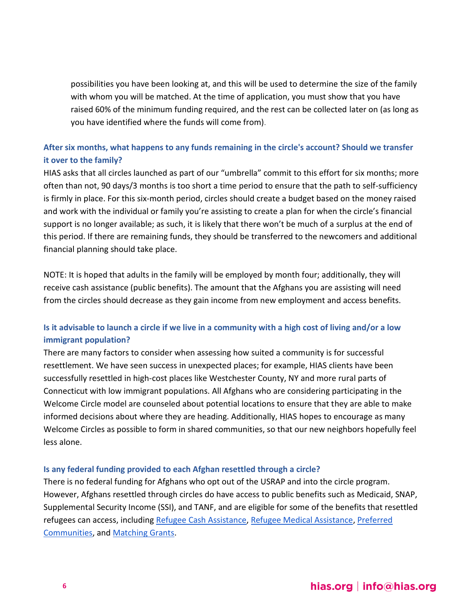possibilities you have been looking at, and this will be used to determine the size of the family with whom you will be matched. At the time of application, you must show that you have raised 60% of the minimum funding required, and the rest can be collected later on (as long as you have identified where the funds will come from).

### <span id="page-5-0"></span>**After six months, what happens to any funds remaining in the circle's account? Should we transfer it over to the family?**

HIAS asks that all circles launched as part of our "umbrella" commit to this effort for six months; more often than not, 90 days/3 months is too short a time period to ensure that the path to self-sufficiency is firmly in place. For this six-month period, circles should create a budget based on the money raised and work with the individual or family you're assisting to create a plan for when the circle's financial support is no longer available; as such, it is likely that there won't be much of a surplus at the end of this period. If there are remaining funds, they should be transferred to the newcomers and additional financial planning should take place.

NOTE: It is hoped that adults in the family will be employed by month four; additionally, they will receive cash assistance (public benefits). The amount that the Afghans you are assisting will need from the circles should decrease as they gain income from new employment and access benefits.

### <span id="page-5-1"></span>**Is it advisable to launch a circle if we live in a community with a high cost of living and/or a low immigrant population?**

There are many factors to consider when assessing how suited a community is for successful resettlement. We have seen success in unexpected places; for example, HIAS clients have been successfully resettled in high-cost places like Westchester County, NY and more rural parts of Connecticut with low immigrant populations. All Afghans who are considering participating in the Welcome Circle model are counseled about potential locations to ensure that they are able to make informed decisions about where they are heading. Additionally, HIAS hopes to encourage as many Welcome Circles as possible to form in shared communities, so that our new neighbors hopefully feel less alone.

#### <span id="page-5-2"></span>**Is any federal funding provided to each Afghan resettled through a circle?**

There is no federal funding for Afghans who opt out of the USRAP and into the circle program. However, Afghans resettled through circles do have access to public benefits such as Medicaid, SNAP, Supplemental Security Income (SSI), and TANF, and are eligible for some of the benefits that resettled refugees can access, including [Refugee Cash Assistance,](https://www.dshs.wa.gov/esa/community-services-offices/refugee-cash-assistance) [Refugee Medical Assistance,](https://www.acf.hhs.gov/orr/programs/cma/about) [Preferred](https://www.acf.hhs.gov/orr/programs/refugees/rph)  [Communities,](https://www.acf.hhs.gov/orr/programs/refugees/rph) and [Matching Grants.](https://www.acf.hhs.gov/orr/programs/refugees/matching-grants)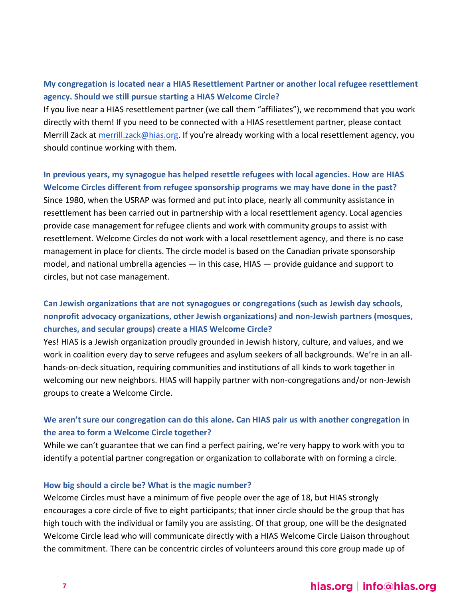### <span id="page-6-0"></span>**My congregation is located near a HIAS Resettlement Partner or another local refugee resettlement agency. Should we still pursue starting a HIAS Welcome Circle?**

If you live near a HIAS resettlement partner (we call them "affiliates"), we recommend that you work directly with them! If you need to be connected with a HIAS resettlement partner, please contact Merrill Zack at [merrill.zack@hias.org](mailto:merrill.zack@hias.org). If you're already working with a local resettlement agency, you should continue working with them.

# <span id="page-6-1"></span>**In previous years, my synagogue has helped resettle refugees with local agencies. How are HIAS Welcome Circles different from refugee sponsorship programs we may have done in the past?** Since 1980, when the USRAP was formed and put into place, nearly all community assistance in resettlement has been carried out in partnership with a local resettlement agency. Local agencies provide case management for refugee clients and work with community groups to assist with resettlement. Welcome Circles do not work with a local resettlement agency, and there is no case management in place for clients. The circle model is based on the Canadian private sponsorship model, and national umbrella agencies  $-$  in this case, HIAS  $-$  provide guidance and support to circles, but not case management.

### <span id="page-6-2"></span>**Can Jewish organizations that are not synagogues or congregations (such as Jewish day schools, nonprofit advocacy organizations, other Jewish organizations) and non-Jewish partners (mosques, churches, and secular groups) create a HIAS Welcome Circle?**

Yes! HIAS is a Jewish organization proudly grounded in Jewish history, culture, and values, and we work in coalition every day to serve refugees and asylum seekers of all backgrounds. We're in an allhands-on-deck situation, requiring communities and institutions of all kinds to work together in welcoming our new neighbors. HIAS will happily partner with non-congregations and/or non-Jewish groups to create a Welcome Circle.

### <span id="page-6-3"></span>**We aren't sure our congregation can do this alone. Can HIAS pair us with another congregation in the area to form a Welcome Circle together?**

While we can't guarantee that we can find a perfect pairing, we're very happy to work with you to identify a potential partner congregation or organization to collaborate with on forming a circle.

#### <span id="page-6-4"></span>**How big should a circle be? What is the magic number?**

Welcome Circles must have a minimum of five people over the age of 18, but HIAS strongly encourages a core circle of five to eight participants; that inner circle should be the group that has high touch with the individual or family you are assisting. Of that group, one will be the designated Welcome Circle lead who will communicate directly with a HIAS Welcome Circle Liaison throughout the commitment. There can be concentric circles of volunteers around this core group made up of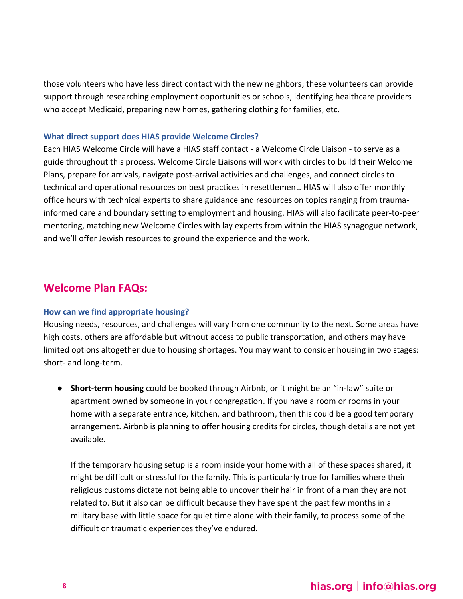those volunteers who have less direct contact with the new neighbors; these volunteers can provide support through researching employment opportunities or schools, identifying healthcare providers who accept Medicaid, preparing new homes, gathering clothing for families, etc.

#### <span id="page-7-0"></span>**What direct support does HIAS provide Welcome Circles?**

Each HIAS Welcome Circle will have a HIAS staff contact - a Welcome Circle Liaison - to serve as a guide throughout this process. Welcome Circle Liaisons will work with circles to build their Welcome Plans, prepare for arrivals, navigate post-arrival activities and challenges, and connect circles to technical and operational resources on best practices in resettlement. HIAS will also offer monthly office hours with technical experts to share guidance and resources on topics ranging from traumainformed care and boundary setting to employment and housing. HIAS will also facilitate peer-to-peer mentoring, matching new Welcome Circles with lay experts from within the HIAS synagogue network, and we'll offer Jewish resources to ground the experience and the work.

### <span id="page-7-1"></span>**Welcome Plan FAQs:**

#### <span id="page-7-2"></span>**How can we find appropriate housing?**

Housing needs, resources, and challenges will vary from one community to the next. Some areas have high costs, others are affordable but without access to public transportation, and others may have limited options altogether due to housing shortages. You may want to consider housing in two stages: short- and long-term.

● **Short-term housing** could be booked through Airbnb, or it might be an "in-law" suite or apartment owned by someone in your congregation. If you have a room or rooms in your home with a separate entrance, kitchen, and bathroom, then this could be a good temporary arrangement. Airbnb is planning to offer housing credits for circles, though details are not yet available.

If the temporary housing setup is a room inside your home with all of these spaces shared, it might be difficult or stressful for the family. This is particularly true for families where their religious customs dictate not being able to uncover their hair in front of a man they are not related to. But it also can be difficult because they have spent the past few months in a military base with little space for quiet time alone with their family, to process some of the difficult or traumatic experiences they've endured.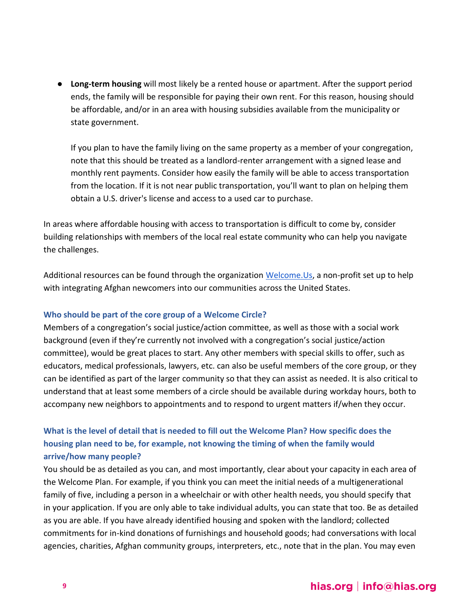● **Long-term housing** will most likely be a rented house or apartment. After the support period ends, the family will be responsible for paying their own rent. For this reason, housing should be affordable, and/or in an area with housing subsidies available from the municipality or state government.

If you plan to have the family living on the same property as a member of your congregation, note that this should be treated as a landlord-renter arrangement with a signed lease and monthly rent payments. Consider how easily the family will be able to access transportation from the location. If it is not near public transportation, you'll want to plan on helping them obtain a U.S. driver's license and access to a used car to purchase.

In areas where affordable housing with access to transportation is difficult to come by, consider building relationships with members of the local real estate community who can help you navigate the challenges.

Additional resources can be found through the organization [Welcome.Us,](https://welcome.us/) a non-profit set up to help with integrating Afghan newcomers into our communities across the United States.

### <span id="page-8-0"></span>**Who should be part of the core group of a Welcome Circle?**

Members of a congregation's social justice/action committee, as well as those with a social work background (even if they're currently not involved with a congregation's social justice/action committee), would be great places to start. Any other members with special skills to offer, such as educators, medical professionals, lawyers, etc. can also be useful members of the core group, or they can be identified as part of the larger community so that they can assist as needed. It is also critical to understand that at least some members of a circle should be available during workday hours, both to accompany new neighbors to appointments and to respond to urgent matters if/when they occur.

### <span id="page-8-1"></span>**What is the level of detail that is needed to fill out the Welcome Plan? How specific does the housing plan need to be, for example, not knowing the timing of when the family would arrive/how many people?**

You should be as detailed as you can, and most importantly, clear about your capacity in each area of the Welcome Plan. For example, if you think you can meet the initial needs of a multigenerational family of five, including a person in a wheelchair or with other health needs, you should specify that in your application. If you are only able to take individual adults, you can state that too. Be as detailed as you are able. If you have already identified housing and spoken with the landlord; collected commitments for in-kind donations of furnishings and household goods; had conversations with local agencies, charities, Afghan community groups, interpreters, etc., note that in the plan. You may even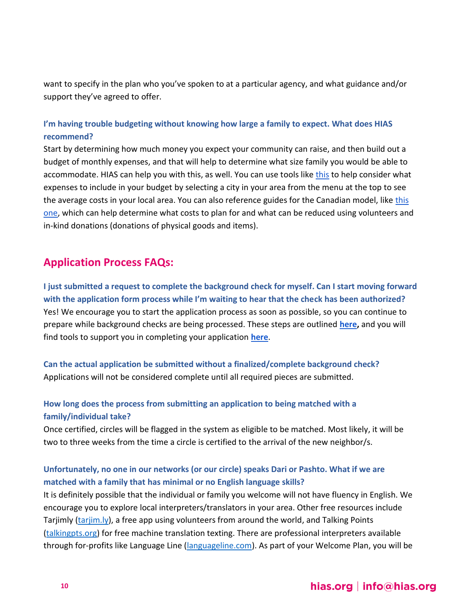want to specify in the plan who you've spoken to at a particular agency, and what guidance and/or support they've agreed to offer.

### <span id="page-9-0"></span>**I'm having trouble budgeting without knowing how large a family to expect. What does HIAS recommend?**

Start by determining how much money you expect your community can raise, and then build out a budget of monthly expenses, and that will help to determine what size family you would be able to accommodate. HIAS can help you with [this](https://www.numbeo.com/cost-of-living/country_result.jsp?country=United+States), as well. You can use tools like this to help consider what expenses to include in your budget by selecting a city in your area from the menu at the top to see the average costs in your local area. You can also reference guides for the Canadian model, like [this](https://www.agcrsi.org/getting-started/sponsorship-costs)  [one,](https://www.agcrsi.org/getting-started/sponsorship-costs) which can help determine what costs to plan for and what can be reduced using volunteers and in-kind donations (donations of physical goods and items).

# <span id="page-9-1"></span>**Application Process FAQs:**

<span id="page-9-2"></span>**I just submitted a request to complete the background check for myself. Can I start moving forward with the application form process while I'm waiting to hear that the check has been authorized?**  Yes! We encourage you to start the application process as soon as possible, so you can continue to prepare while background checks are being processed. These steps are outlined **[here,](https://www.sponsorcircles.org/apply)** and you will find tools to support you in completing your application **[here](https://www.sponsorcircles.org/tools)**.

<span id="page-9-3"></span>**Can the actual application be submitted without a finalized/complete background check?**  Applications will not be considered complete until all required pieces are submitted.

### <span id="page-9-4"></span>**How long does the process from submitting an application to being matched with a family/individual take?**

Once certified, circles will be flagged in the system as eligible to be matched. Most likely, it will be two to three weeks from the time a circle is certified to the arrival of the new neighbor/s.

### <span id="page-9-5"></span>**Unfortunately, no one in our networks (or our circle) speaks Dari or Pashto. What if we are matched with a family that has minimal or no English language skills?**

It is definitely possible that the individual or family you welcome will not have fluency in English. We encourage you to explore local interpreters/translators in your area. Other free resources include Tarjimly [\(tarjim.ly\)](https://www.tarjim.ly/), a free app using volunteers from around the world, and Talking Points [\(talkingpts.org\)](https://talkingpts.org/) for free machine translation texting. There are professional interpreters available through for-profits like Language Line [\(languageline.com\)](https://www.languageline.com/s/). As part of your Welcome Plan, you will be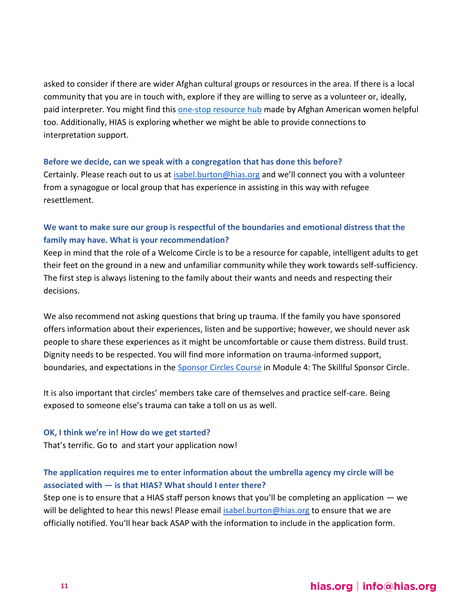asked to consider if there are wider Afghan cultural groups or resources in the area. If there is a local community that you are in touch with, explore if they are willing to serve as a volunteer or, ideally, paid interpreter. You might find this [one-stop resource hub](https://www.iloveafg.org/) made by Afghan American women helpful too. Additionally, HIAS is exploring whether we might be able to provide connections to interpretation support.

#### <span id="page-10-0"></span>**Before we decide, can we speak with a congregation that has done this before?**

Certainly. Please reach out to us at [isabel.burton@hias.org](mailto:isabel.burton@hias.org) and we'll connect you with a volunteer from a synagogue or local group that has experience in assisting in this way with refugee resettlement.

### <span id="page-10-1"></span>**We want to make sure our group is respectful of the boundaries and emotional distress that the family may have. What is your recommendation?**

Keep in mind that the role of a Welcome Circle is to be a resource for capable, intelligent adults to get their feet on the ground in a new and unfamiliar community while they work towards self-sufficiency. The first step is always listening to the family about their wants and needs and respecting their decisions.

We also recommend not asking questions that bring up trauma. If the family you have sponsored offers information about their experiences, listen and be supportive; however, we should never ask people to share these experiences as it might be uncomfortable or cause them distress. Build trust. Dignity needs to be respected. You will find more information on trauma-informed support, boundaries, and expectations in the [Sponsor Circles Course](https://static1.squarespace.com/static/61646bf4b4d54060a39e8039/t/617d85cb7b44593898c22897/1635616206874/Sponsor+Circle+Guide.pdf) in Module 4: The Skillful Sponsor Circle.

It is also important that circles' members take care of themselves and practice self-care. Being exposed to someone else's trauma can take a toll on us as well.

#### <span id="page-10-2"></span>**OK, I think we're in! How do we get started?**

That's terrific. Go to and start your application now!

### <span id="page-10-3"></span>**The application requires me to enter information about the umbrella agency my circle will be associated with — is that HIAS? What should I enter there?**

Step one is to ensure that a HIAS staff person knows that you'll be completing an application — we will be delighted to hear this news! Please email [isabel.burton@hias.org](mailto:isabel.burton@hias.org) to ensure that we are officially notified. You'll hear back ASAP with the information to include in the application form.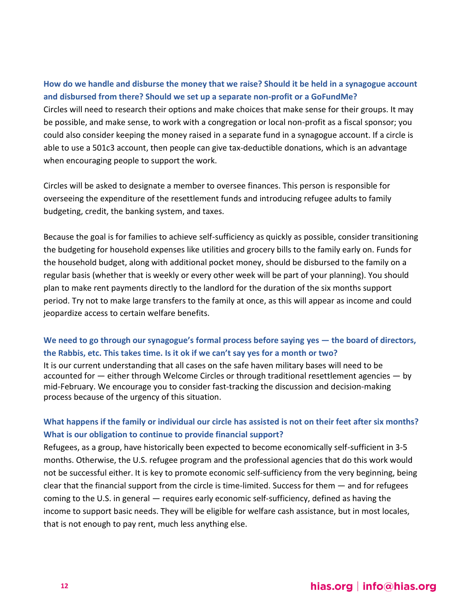<span id="page-11-0"></span>**How do we handle and disburse the money that we raise? Should it be held in a synagogue account and disbursed from there? Should we set up a separate non-profit or a GoFundMe?** Circles will need to research their options and make choices that make sense for their groups. It may be possible, and make sense, to work with a congregation or local non-profit as a fiscal sponsor; you could also consider keeping the money raised in a separate fund in a synagogue account. If a circle is able to use a 501c3 account, then people can give tax-deductible donations, which is an advantage when encouraging people to support the work.

Circles will be asked to designate a member to oversee finances. This person is responsible for overseeing the expenditure of the resettlement funds and introducing refugee adults to family budgeting, credit, the banking system, and taxes.

Because the goal is for families to achieve self-sufficiency as quickly as possible, consider transitioning the budgeting for household expenses like utilities and grocery bills to the family early on. Funds for the household budget, along with additional pocket money, should be disbursed to the family on a regular basis (whether that is weekly or every other week will be part of your planning). You should plan to make rent payments directly to the landlord for the duration of the six months support period. Try not to make large transfers to the family at once, as this will appear as income and could jeopardize access to certain welfare benefits.

### <span id="page-11-1"></span>**We need to go through our synagogue's formal process before saying yes — the board of directors, the Rabbis, etc. This takes time. Is it ok if we can't say yes for a month or two?**

It is our current understanding that all cases on the safe haven military bases will need to be accounted for — either through Welcome Circles or through traditional resettlement agencies — by mid-February. We encourage you to consider fast-tracking the discussion and decision-making process because of the urgency of this situation.

### <span id="page-11-2"></span>**What happens if the family or individual our circle has assisted is not on their feet after six months? What is our obligation to continue to provide financial support?**

Refugees, as a group, have historically been expected to become economically self-sufficient in 3-5 months. Otherwise, the U.S. refugee program and the professional agencies that do this work would not be successful either. It is key to promote economic self-sufficiency from the very beginning, being clear that the financial support from the circle is time-limited. Success for them — and for refugees coming to the U.S. in general — requires early economic self-sufficiency, defined as having the income to support basic needs. They will be eligible for welfare cash assistance, but in most locales, that is not enough to pay rent, much less anything else.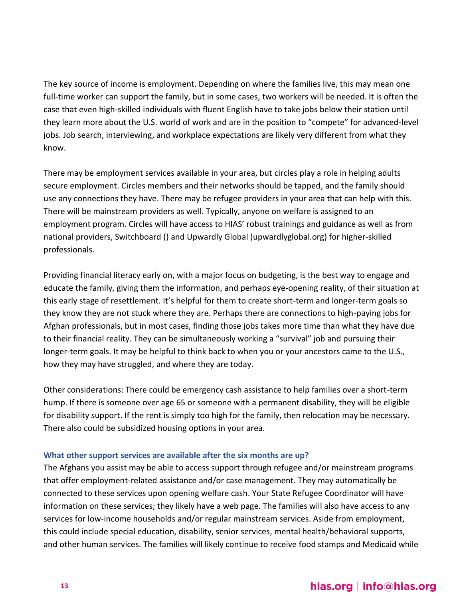The key source of income is employment. Depending on where the families live, this may mean one full-time worker can support the family, but in some cases, two workers will be needed. It is often the case that even high-skilled individuals with fluent English have to take jobs below their station until they learn more about the U.S. world of work and are in the position to "compete" for advanced-level jobs. Job search, interviewing, and workplace expectations are likely very different from what they know.

There may be employment services available in your area, but circles play a role in helping adults secure employment. Circles members and their networks should be tapped, and the family should use any connections they have. There may be refugee providers in your area that can help with this. There will be mainstream providers as well. Typically, anyone on welfare is assigned to an employment program. Circles will have access to HIAS' robust trainings and guidance as well as from national providers, Switchboard () and Upwardly Global [\(upwardlyglobal.org\)](http://www.upwardlyglobal.org/) for higher-skilled professionals.

Providing financial literacy early on, with a major focus on budgeting, is the best way to engage and educate the family, giving them the information, and perhaps eye-opening reality, of their situation at this early stage of resettlement. It's helpful for them to create short-term and longer-term goals so they know they are not stuck where they are. Perhaps there are connections to high-paying jobs for Afghan professionals, but in most cases, finding those jobs takes more time than what they have due to their financial reality. They can be simultaneously working a "survival" job and pursuing their longer-term goals. It may be helpful to think back to when you or your ancestors came to the U.S., how they may have struggled, and where they are today.

Other considerations: There could be emergency cash assistance to help families over a short-term hump. If there is someone over age 65 or someone with a permanent disability, they will be eligible for disability support. If the rent is simply too high for the family, then relocation may be necessary. There also could be subsidized housing options in your area.

### <span id="page-12-0"></span>**What other support services are available after the six months are up?**

The Afghans you assist may be able to access support through refugee and/or mainstream programs that offer employment-related assistance and/or case management. They may automatically be connected to these services upon opening welfare cash. Your State Refugee Coordinator will have information on these services; they likely have a web page. The families will also have access to any services for low-income households and/or regular mainstream services. Aside from employment, this could include special education, disability, senior services, mental health/behavioral supports, and other human services. The families will likely continue to receive food stamps and Medicaid while